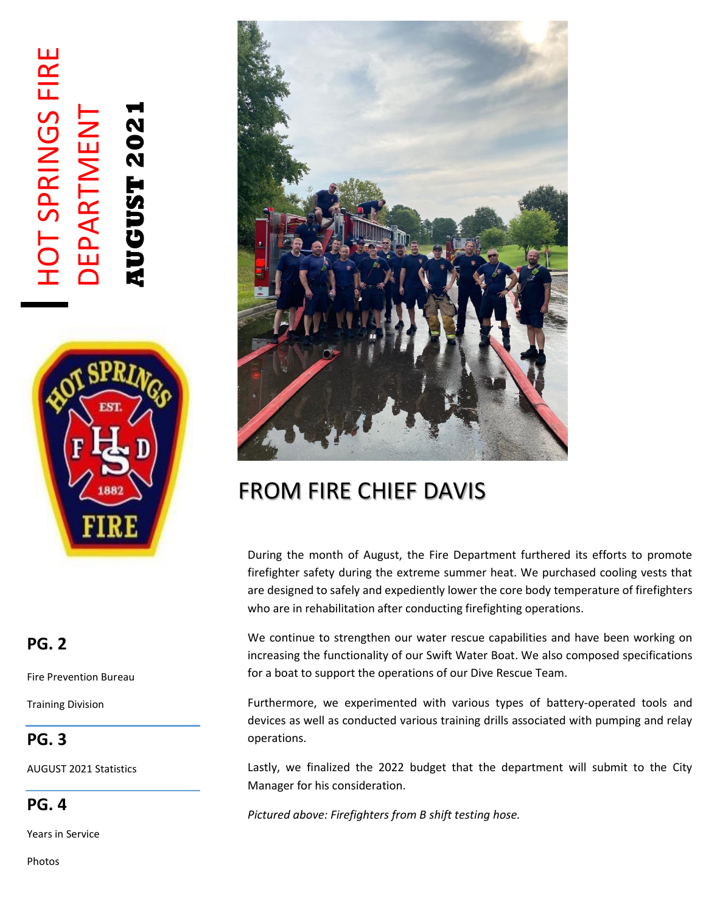# HOT SPRINGS FIRE **HOT SPRINGS FIRE AUGUST 2021** DEPARTMENT **DEPARTMENT AUGUST 202**



### **PG. 2**

Fire Prevention Bureau

Training Division

### **PG. 3**

AUGUST 2021 Statistics

**PG. 4**

Years in Service





## FROM FIRE CHIEF DAVIS

During the month of August, the Fire Department furthered its efforts to promote firefighter safety during the extreme summer heat. We purchased cooling vests that are designed to safely and expediently lower the core body temperature of firefighters who are in rehabilitation after conducting firefighting operations.

We continue to strengthen our water rescue capabilities and have been working on increasing the functionality of our Swift Water Boat. We also composed specifications for a boat to support the operations of our Dive Rescue Team.

Furthermore, we experimented with various types of battery-operated tools and devices as well as conducted various training drills associated with pumping and relay operations.

Lastly, we finalized the 2022 budget that the department will submit to the City Manager for his consideration.

*Pictured above: Firefighters from B shift testing hose.*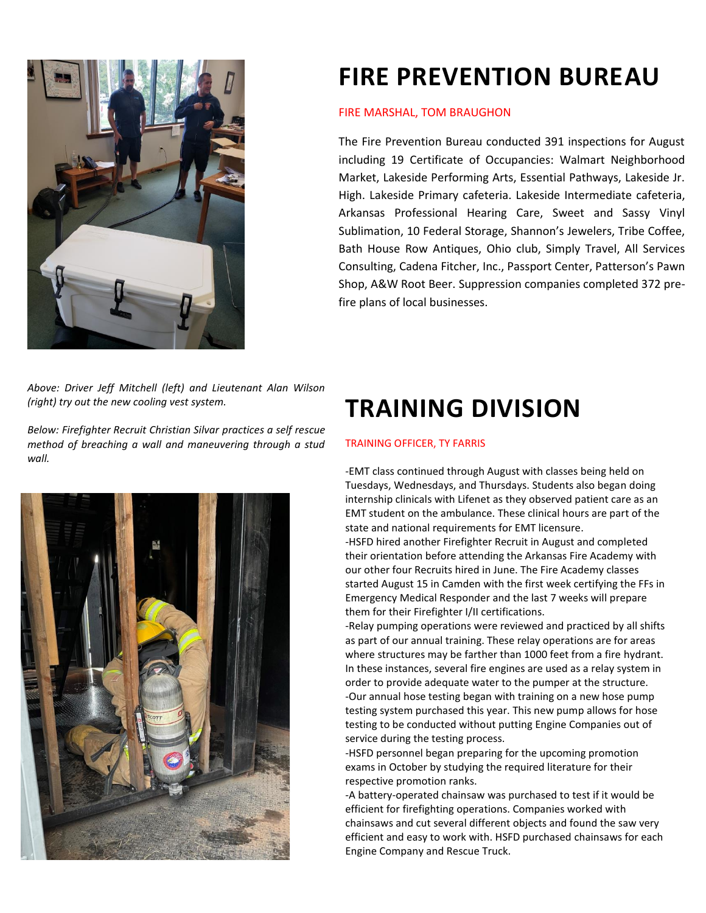

# **FIRE PREVENTION BUREAU**

#### FIRE MARSHAL, TOM BRAUGHON

The Fire Prevention Bureau conducted 391 inspections for August including 19 Certificate of Occupancies: Walmart Neighborhood Market, Lakeside Performing Arts, Essential Pathways, Lakeside Jr. High. Lakeside Primary cafeteria. Lakeside Intermediate cafeteria, Arkansas Professional Hearing Care, Sweet and Sassy Vinyl Sublimation, 10 Federal Storage, Shannon's Jewelers, Tribe Coffee, Bath House Row Antiques, Ohio club, Simply Travel, All Services Consulting, Cadena Fitcher, Inc., Passport Center, Patterson's Pawn Shop, A&W Root Beer. Suppression companies completed 372 prefire plans of local businesses.

*Above: Driver Jeff Mitchell (left) and Lieutenant Alan Wilson (right) try out the new cooling vest system.* 

*Below: Firefighter Recruit Christian Silvar practices a self rescue method of breaching a wall and maneuvering through a stud wall.*



# **TRAINING DIVISION**

#### TRAINING OFFICER, TY FARRIS

-EMT class continued through August with classes being held on Tuesdays, Wednesdays, and Thursdays. Students also began doing internship clinicals with Lifenet as they observed patient care as an EMT student on the ambulance. These clinical hours are part of the state and national requirements for EMT licensure.

-HSFD hired another Firefighter Recruit in August and completed their orientation before attending the Arkansas Fire Academy with our other four Recruits hired in June. The Fire Academy classes started August 15 in Camden with the first week certifying the FFs in Emergency Medical Responder and the last 7 weeks will prepare them for their Firefighter I/II certifications.

-Relay pumping operations were reviewed and practiced by all shifts as part of our annual training. These relay operations are for areas where structures may be farther than 1000 feet from a fire hydrant. In these instances, several fire engines are used as a relay system in order to provide adequate water to the pumper at the structure. -Our annual hose testing began with training on a new hose pump testing system purchased this year. This new pump allows for hose testing to be conducted without putting Engine Companies out of service during the testing process.

-HSFD personnel began preparing for the upcoming promotion exams in October by studying the required literature for their respective promotion ranks.

-A battery-operated chainsaw was purchased to test if it would be efficient for firefighting operations. Companies worked with chainsaws and cut several different objects and found the saw very efficient and easy to work with. HSFD purchased chainsaws for each Engine Company and Rescue Truck.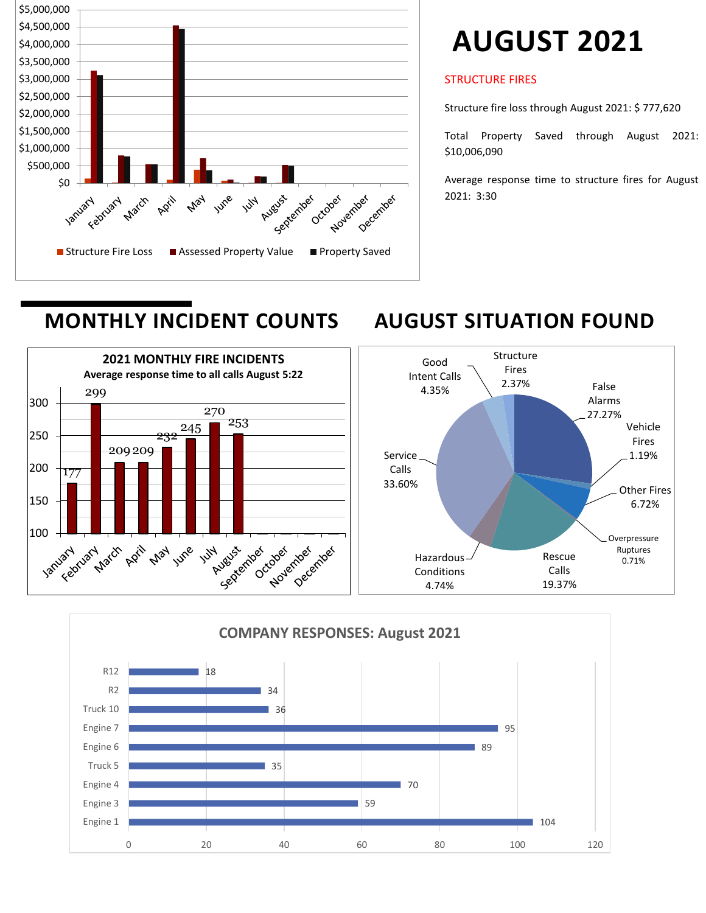

# **AUGUST 2021**

#### STRUCTURE FIRES

Structure fire loss through August 2021: \$ 777,620

Total Property Saved through August 2021: \$10,006,090

Average response time to structure fires for August 2021: 3:30

## **MONTHLY INCIDENT COUNTS AUGUST SITUATION FOUND**